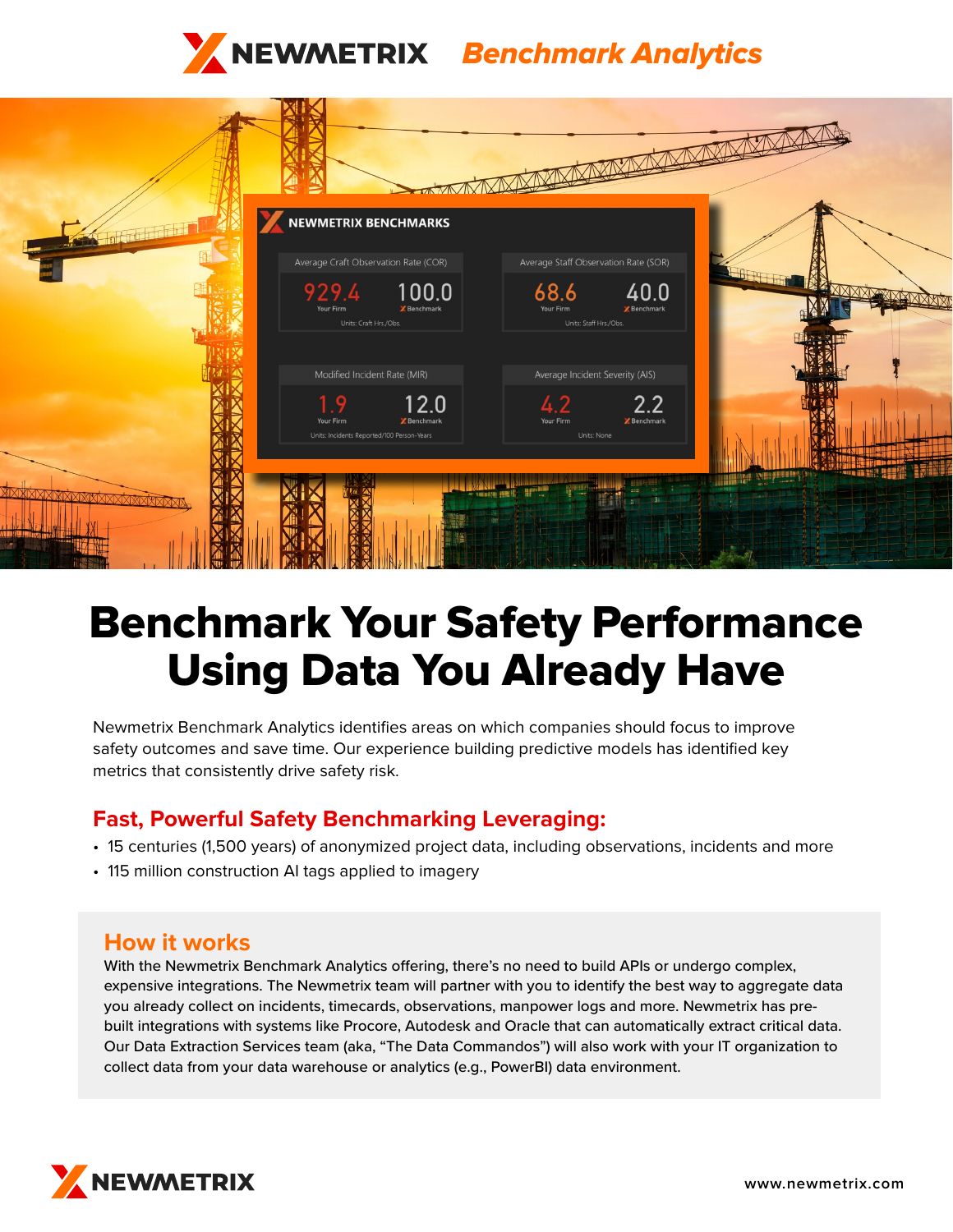



# Benchmark Your Safety Performance Using Data You Already Have

Newmetrix Benchmark Analytics identifies areas on which companies should focus to improve safety outcomes and save time. Our experience building predictive models has identified key metrics that consistently drive safety risk.

## **Fast, Powerful Safety Benchmarking Leveraging:**

- 15 centuries (1,500 years) of anonymized project data, including observations, incidents and more
- 115 million construction AI tags applied to imagery

## **How it works**

With the Newmetrix Benchmark Analytics offering, there's no need to build APIs or undergo complex, expensive integrations. The Newmetrix team will partner with you to identify the best way to aggregate data you already collect on incidents, timecards, observations, manpower logs and more. Newmetrix has prebuilt integrations with systems like Procore, Autodesk and Oracle that can automatically extract critical data. Our Data Extraction Services team (aka, "The Data Commandos") will also work with your IT organization to collect data from your data warehouse or analytics (e.g., PowerBI) data environment.